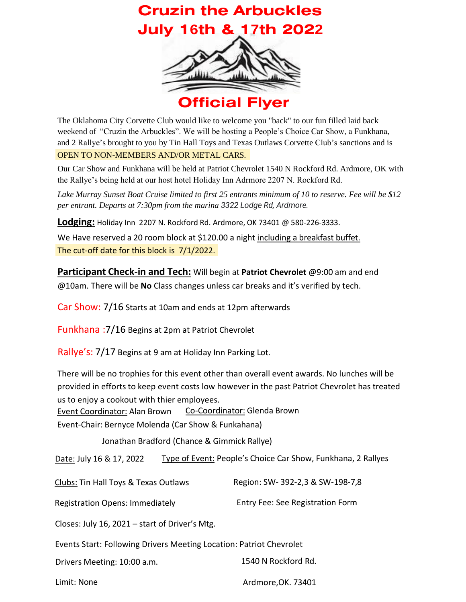## **Cruzin the Arbuckles July 16th & 17th 2022**



The Oklahoma City Corvette Club would like to welcome you "back" to our fun filled laid back weekend of "Cruzin the Arbuckles". We will be hosting a People's Choice Car Show, a Funkhana, and 2 Rallye's brought to you by Tin Hall Toys and Texas Outlaws Corvette Club's sanctions and is OPEN TO NON-MEMBERS AND/OR METAL CARS.

Our Car Show and Funkhana will be held at Patriot Chevrolet 1540 N Rockford Rd. Ardmore, OK with the Rallye's being held at our host hotel Holiday Inn Adrmore 2207 N. Rockford Rd.

*Lake Murray Sunset Boat Cruise limited to first 25 entrants minimum of 10 to reserve. Fee will be \$12 per entrant. Departs at 7:30pm from the marina 3322 Lodge Rd, Ardmore.*

**Lodging:** Holiday Inn 2207 N. Rockford Rd. Ardmore, OK 73401 @ 580-226-3333.

The cut-off date for this block is 7/1/2022. We Have reserved a 20 room block at \$120.00 a night including a breakfast buffet.

**Participant Check-in and Tech:** Will begin at **Patriot Chevrolet** @9:00 am and end @10am. There will be **No** Class changes unless car breaks and it's verified by tech.

Car Show: 7/16 Starts at 10am and ends at 12pm afterwards

Funkhana :7/16 Begins at 2pm at Patriot Chevrolet

Rallye's: 7/17 Begins at 9 am at Holiday Inn Parking Lot.

There will be no trophies for this event other than overall event awards. No lunches will be provided in efforts to keep event costs low however in the past Patriot Chevrolet has treated us to enjoy a cookout with thier employees.

Event Coordinator: Alan Brown Co-Coordinator: Glenda Brown

Event-Chair: Bernyce Molenda (Car Show & Funkahana)

Jonathan Bradford (Chance & Gimmick Rallye)

Date: July 16 & 17, 2022 Type of Event: People's Choice Car Show, Funkhana, 2 Rallyes

Clubs: Tin Hall Toys & Texas Outlaws Region: SW- 392-2,3 & SW-198-7,8

Registration Opens: Immediately Entry Fee: See Registration Form

Closes: July 16, 2021 – start of Driver's Mtg.

Events Start: Following Drivers Meeting Location: Patriot Chevrolet

Drivers Meeting: 10:00 a.m. 1540 N Rockford Rd.

Limit: None **Ardmore, OK. 73401**